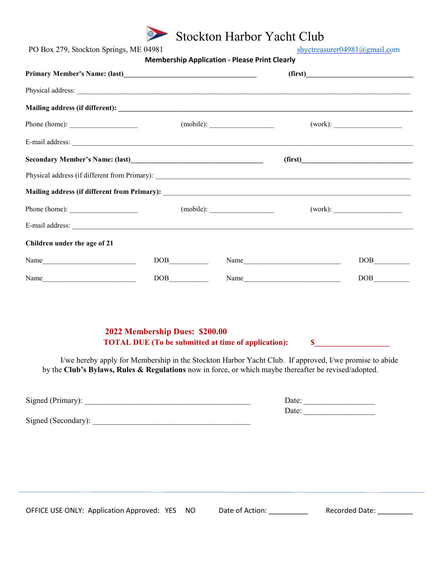

| PO Box 279, Stockton Springs, ME 04981                                                                | <b>Membership Application - Please Print Clearly</b>                                                                                                                                                   | shyctreasurer04981@gmail.com |                             |                           |  |
|-------------------------------------------------------------------------------------------------------|--------------------------------------------------------------------------------------------------------------------------------------------------------------------------------------------------------|------------------------------|-----------------------------|---------------------------|--|
|                                                                                                       |                                                                                                                                                                                                        | (first)                      |                             |                           |  |
|                                                                                                       |                                                                                                                                                                                                        |                              |                             |                           |  |
|                                                                                                       |                                                                                                                                                                                                        |                              |                             |                           |  |
| Phone (home): $\frac{1}{\sqrt{1-\frac{1}{2}} \cdot \frac{1}{2}}$                                      | (mobile):                                                                                                                                                                                              |                              |                             |                           |  |
|                                                                                                       |                                                                                                                                                                                                        |                              |                             |                           |  |
|                                                                                                       |                                                                                                                                                                                                        |                              | (first)                     |                           |  |
|                                                                                                       |                                                                                                                                                                                                        |                              |                             |                           |  |
|                                                                                                       |                                                                                                                                                                                                        |                              |                             |                           |  |
| Phone (home): $\frac{1}{\sqrt{1-\frac{1}{2}} \cdot \frac{1}{2}}$                                      | (mobile):                                                                                                                                                                                              |                              |                             |                           |  |
|                                                                                                       |                                                                                                                                                                                                        |                              |                             |                           |  |
| Children under the age of 21                                                                          |                                                                                                                                                                                                        |                              |                             |                           |  |
| Name                                                                                                  | DOB                                                                                                                                                                                                    |                              | Name                        | DOB                       |  |
| Name                                                                                                  | DOB                                                                                                                                                                                                    |                              | Name                        | DOB                       |  |
| by the Club's Bylaws, Rules & Regulations now in force, or which maybe thereafter be revised/adopted. | 2022 Membership Dues: \$200.00<br><b>TOTAL DUE</b> (To be submitted at time of application):<br>I/we hereby apply for Membership in the Stockton Harbor Yacht Club. If approved, I/we promise to abide |                              |                             |                           |  |
| Signed (Primary):                                                                                     |                                                                                                                                                                                                        |                              | Date:<br>Date:              |                           |  |
|                                                                                                       |                                                                                                                                                                                                        |                              |                             |                           |  |
|                                                                                                       |                                                                                                                                                                                                        |                              |                             |                           |  |
| OFFICE USE ONLY: Application Approved: YES                                                            | <b>NO</b>                                                                                                                                                                                              |                              | Date of Action: ___________ | Recorded Date: __________ |  |